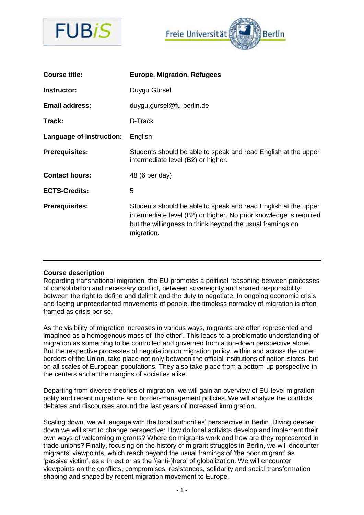



| <b>Course title:</b>     | <b>Europe, Migration, Refugees</b>                                                                                                                                                                             |
|--------------------------|----------------------------------------------------------------------------------------------------------------------------------------------------------------------------------------------------------------|
| Instructor:              | Duygu Gürsel                                                                                                                                                                                                   |
| <b>Email address:</b>    | duygu.gursel@fu-berlin.de                                                                                                                                                                                      |
| Track:                   | <b>B-Track</b>                                                                                                                                                                                                 |
| Language of instruction: | English                                                                                                                                                                                                        |
| <b>Prerequisites:</b>    | Students should be able to speak and read English at the upper<br>intermediate level (B2) or higher.                                                                                                           |
| <b>Contact hours:</b>    | 48 (6 per day)                                                                                                                                                                                                 |
| <b>ECTS-Credits:</b>     | 5                                                                                                                                                                                                              |
| <b>Prerequisites:</b>    | Students should be able to speak and read English at the upper<br>intermediate level (B2) or higher. No prior knowledge is required<br>but the willingness to think beyond the usual framings on<br>migration. |

## **Course description**

Regarding transnational migration, the EU promotes a political reasoning between processes of consolidation and necessary conflict, between sovereignty and shared responsibility, between the right to define and delimit and the duty to negotiate. In ongoing economic crisis and facing unprecedented movements of people, the timeless normalcy of migration is often framed as crisis per se.

As the visibility of migration increases in various ways, migrants are often represented and imagined as a homogenous mass of 'the other'. This leads to a problematic understanding of migration as something to be controlled and governed from a top-down perspective alone. But the respective processes of negotiation on migration policy, within and across the outer borders of the Union, take place not only between the official institutions of nation-states, but on all scales of European populations. They also take place from a bottom-up perspective in the centers and at the margins of societies alike.

Departing from diverse theories of migration, we will gain an overview of EU-level migration polity and recent migration- and border-management policies. We will analyze the conflicts, debates and discourses around the last years of increased immigration.

Scaling down, we will engage with the local authorities' perspective in Berlin. Diving deeper down we will start to change perspective: How do local activists develop and implement their own ways of welcoming migrants? Where do migrants work and how are they represented in trade unions? Finally, focusing on the history of migrant struggles in Berlin, we will encounter migrants' viewpoints, which reach beyond the usual framings of 'the poor migrant' as 'passive victim', as a threat or as the '(anti-)hero' of globalization. We will encounter viewpoints on the conflicts, compromises, resistances, solidarity and social transformation shaping and shaped by recent migration movement to Europe.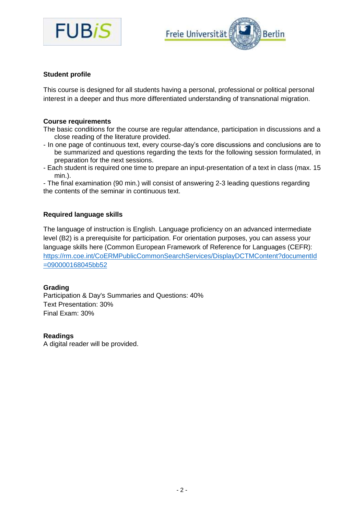



## **Student profile**

This course is designed for all students having a personal, professional or political personal interest in a deeper and thus more differentiated understanding of transnational migration.

## **Course requirements**

The basic conditions for the course are regular attendance, participation in discussions and a close reading of the literature provided.

- In one page of continuous text, every course-day's core discussions and conclusions are to be summarized and questions regarding the texts for the following session formulated, in preparation for the next sessions.
- Each student is required one time to prepare an input-presentation of a text in class (max. 15 min.).

- The final examination (90 min.) will consist of answering 2-3 leading questions regarding the contents of the seminar in continuous text.

## **Required language skills**

The language of instruction is English. Language proficiency on an advanced intermediate level (B2) is a prerequisite for participation. For orientation purposes, you can assess your language skills here (Common European Framework of Reference for Languages (CEFR): [https://rm.coe.int/CoERMPublicCommonSearchServices/DisplayDCTMContent?documentId](https://rm.coe.int/CoERMPublicCommonSearchServices/DisplayDCTMContent?documentId=090000168045bb52) [=090000168045bb52](https://rm.coe.int/CoERMPublicCommonSearchServices/DisplayDCTMContent?documentId=090000168045bb52)

## **Grading**

Participation & Day's Summaries and Questions: 40% Text Presentation: 30% Final Exam: 30%

## **Readings**

A digital reader will be provided.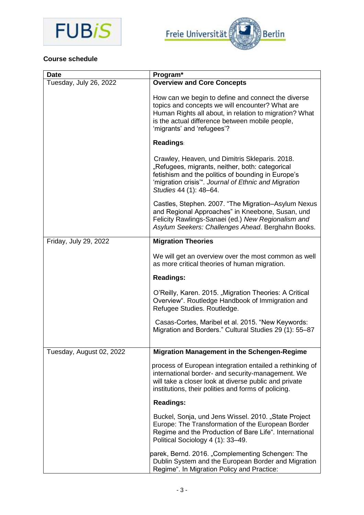



# **Course schedule**

| <b>Date</b>              | Program*                                                                                                                                                                                                                                         |
|--------------------------|--------------------------------------------------------------------------------------------------------------------------------------------------------------------------------------------------------------------------------------------------|
| Tuesday, July 26, 2022   | <b>Overview and Core Concepts</b>                                                                                                                                                                                                                |
|                          | How can we begin to define and connect the diverse<br>topics and concepts we will encounter? What are<br>Human Rights all about, in relation to migration? What<br>is the actual difference between mobile people,<br>'migrants' and 'refugees'? |
|                          | <b>Readings:</b>                                                                                                                                                                                                                                 |
|                          | Crawley, Heaven, und Dimitris Skleparis. 2018.<br>"Refugees, migrants, neither, both: categorical<br>fetishism and the politics of bounding in Europe's<br>'migration crisis". Journal of Ethnic and Migration<br>Studies 44 (1): 48-64.         |
|                          | Castles, Stephen. 2007. "The Migration-Asylum Nexus<br>and Regional Approaches" in Kneebone, Susan, und<br>Felicity Rawlings-Sanaei (ed.) New Regionalism and<br>Asylum Seekers: Challenges Ahead. Berghahn Books.                               |
| Friday, July 29, 2022    | <b>Migration Theories</b>                                                                                                                                                                                                                        |
|                          | We will get an overview over the most common as well<br>as more critical theories of human migration.                                                                                                                                            |
|                          | <b>Readings:</b>                                                                                                                                                                                                                                 |
|                          | O'Reilly, Karen. 2015. "Migration Theories: A Critical<br>Overview". Routledge Handbook of Immigration and<br>Refugee Studies. Routledge.                                                                                                        |
|                          | Casas-Cortes, Maribel et al. 2015. "New Keywords:<br>Migration and Borders." Cultural Studies 29 (1): 55-87                                                                                                                                      |
| Tuesday, August 02, 2022 | <b>Migration Management in the Schengen-Regime</b>                                                                                                                                                                                               |
|                          | process of European integration entailed a rethinking of<br>international border- and security-management. We<br>will take a closer look at diverse public and private<br>institutions, their polities and forms of policing.                    |
|                          | <b>Readings:</b>                                                                                                                                                                                                                                 |
|                          | Buckel, Sonja, und Jens Wissel. 2010. "State Project<br>Europe: The Transformation of the European Border<br>Regime and the Production of Bare Life". International<br>Political Sociology 4 (1): 33-49.                                         |
|                          | parek, Bernd. 2016. "Complementing Schengen: The<br>Dublin System and the European Border and Migration<br>Regime". In Migration Policy and Practice:                                                                                            |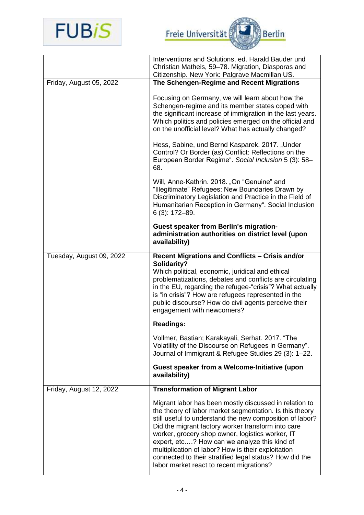

Freie Universität

|                          | Interventions and Solutions, ed. Harald Bauder und<br>Christian Matheis, 59-78. Migration, Diasporas and                                                                                                                                                                                                                                                                                                                                                                                             |
|--------------------------|------------------------------------------------------------------------------------------------------------------------------------------------------------------------------------------------------------------------------------------------------------------------------------------------------------------------------------------------------------------------------------------------------------------------------------------------------------------------------------------------------|
|                          | Citizenship. New York: Palgrave Macmillan US.                                                                                                                                                                                                                                                                                                                                                                                                                                                        |
| Friday, August 05, 2022  | The Schengen-Regime and Recent Migrations                                                                                                                                                                                                                                                                                                                                                                                                                                                            |
|                          | Focusing on Germany, we will learn about how the<br>Schengen-regime and its member states coped with<br>the significant increase of immigration in the last years.<br>Which politics and policies emerged on the official and<br>on the unofficial level? What has actually changed?                                                                                                                                                                                                                 |
|                          | Hess, Sabine, und Bernd Kasparek. 2017. "Under<br>Control? Or Border (as) Conflict: Reflections on the<br>European Border Regime". Social Inclusion 5 (3): 58-<br>68.                                                                                                                                                                                                                                                                                                                                |
|                          | Will, Anne-Kathrin. 2018. "On "Genuine" and<br>"Illegitimate" Refugees: New Boundaries Drawn by<br>Discriminatory Legislation and Practice in the Field of<br>Humanitarian Reception in Germany". Social Inclusion<br>6 (3): 172-89.                                                                                                                                                                                                                                                                 |
|                          | <b>Guest speaker from Berlin's migration-</b><br>administration authorities on district level (upon<br>availability)                                                                                                                                                                                                                                                                                                                                                                                 |
| Tuesday, August 09, 2022 | <b>Recent Migrations and Conflicts - Crisis and/or</b><br>Solidarity?<br>Which political, economic, juridical and ethical<br>problematizations, debates and conflicts are circulating<br>in the EU, regarding the refugee-"crisis"? What actually<br>is "in crisis"? How are refugees represented in the<br>public discourse? How do civil agents perceive their<br>engagement with newcomers?                                                                                                       |
|                          | <b>Readings:</b>                                                                                                                                                                                                                                                                                                                                                                                                                                                                                     |
|                          | Vollmer, Bastian; Karakayali, Serhat. 2017. "The<br>Volatility of the Discourse on Refugees in Germany".<br>Journal of Immigrant & Refugee Studies 29 (3): 1-22.                                                                                                                                                                                                                                                                                                                                     |
|                          | Guest speaker from a Welcome-Initiative (upon<br>availability)                                                                                                                                                                                                                                                                                                                                                                                                                                       |
| Friday, August 12, 2022  | <b>Transformation of Migrant Labor</b>                                                                                                                                                                                                                                                                                                                                                                                                                                                               |
|                          | Migrant labor has been mostly discussed in relation to<br>the theory of labor market segmentation. Is this theory<br>still useful to understand the new composition of labor?<br>Did the migrant factory worker transform into care<br>worker, grocery shop owner, logistics worker, IT<br>expert, etc? How can we analyze this kind of<br>multiplication of labor? How is their exploitation<br>connected to their stratified legal status? How did the<br>labor market react to recent migrations? |